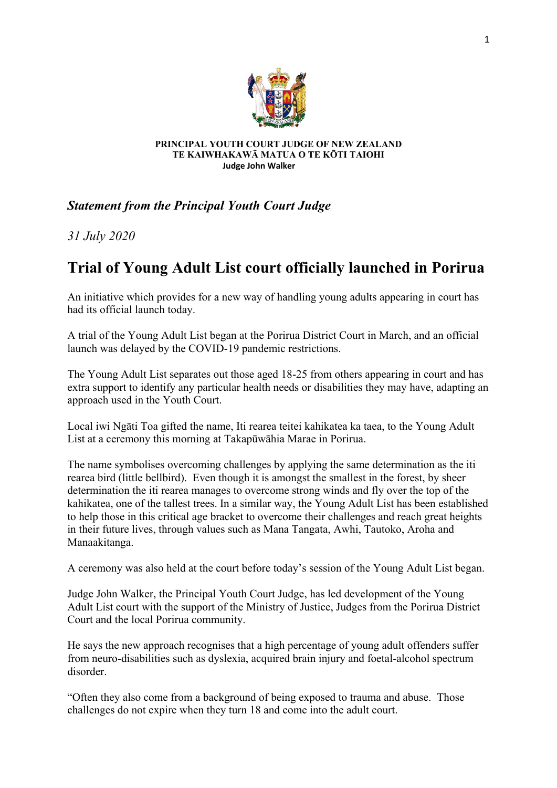

## **PRINCIPAL YOUTH COURT JUDGE OF NEW ZEALAND TE KAIWHAKAWĀ MATUA O TE KŌTI TAIOHI Judge John Walker**

## *Statement from the Principal Youth Court Judge*

*31 July 2020*

## **Trial of Young Adult List court officially launched in Porirua**

An initiative which provides for a new way of handling young adults appearing in court has had its official launch today.

A trial of the Young Adult List began at the Porirua District Court in March, and an official launch was delayed by the COVID-19 pandemic restrictions.

The Young Adult List separates out those aged 18-25 from others appearing in court and has extra support to identify any particular health needs or disabilities they may have, adapting an approach used in the Youth Court.

Local iwi Ngāti Toa gifted the name, Iti rearea teitei kahikatea ka taea, to the Young Adult List at a ceremony this morning at Takapūwāhia Marae in Porirua.

The name symbolises overcoming challenges by applying the same determination as the iti rearea bird (little bellbird). Even though it is amongst the smallest in the forest, by sheer determination the iti rearea manages to overcome strong winds and fly over the top of the kahikatea, one of the tallest trees. In a similar way, the Young Adult List has been established to help those in this critical age bracket to overcome their challenges and reach great heights in their future lives, through values such as Mana Tangata, Awhi, Tautoko, Aroha and Manaakitanga.

A ceremony was also held at the court before today's session of the Young Adult List began.

Judge John Walker, the Principal Youth Court Judge, has led development of the Young Adult List court with the support of the Ministry of Justice, Judges from the Porirua District Court and the local Porirua community.

He says the new approach recognises that a high percentage of young adult offenders suffer from neuro-disabilities such as dyslexia, acquired brain injury and foetal-alcohol spectrum disorder.

"Often they also come from a background of being exposed to trauma and abuse. Those challenges do not expire when they turn 18 and come into the adult court.